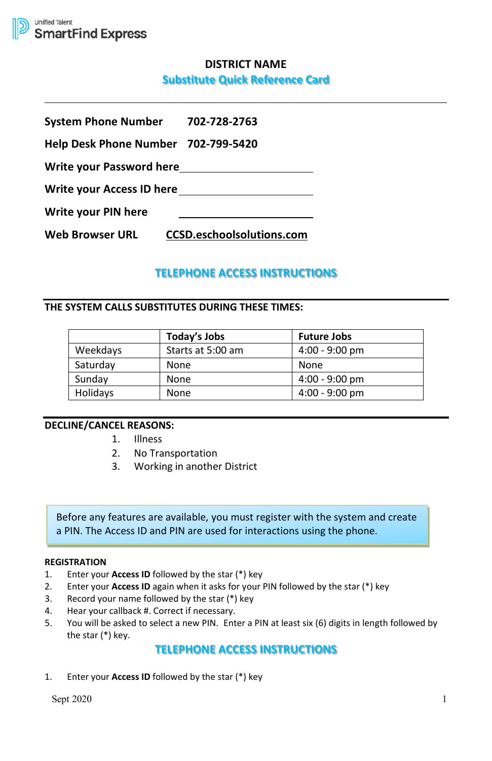

# **DISTRICT NAME**

## **Substitute Quick Reference Card**

| System Phone Number 702-728-2763    |                                  |  |
|-------------------------------------|----------------------------------|--|
| Help Desk Phone Number 702-799-5420 |                                  |  |
| Write your Password here            |                                  |  |
| Write your Access ID here           |                                  |  |
| Write your PIN here                 |                                  |  |
| Web Browser URL                     | <b>CCSD.eschoolsolutions.com</b> |  |

# **TELEPHONE ACCESS INSTRUCTIONS**

## **THE SYSTEM CALLS SUBSTITUTES DURING THESE TIMES:**

|          | Today's Jobs      | <b>Future Jobs</b> |
|----------|-------------------|--------------------|
| Weekdays | Starts at 5:00 am | $4:00 - 9:00$ pm   |
| Saturday | None              | None               |
| Sunday   | None              | $4:00 - 9:00$ pm   |
| Holidays | None              | $4:00 - 9:00$ pm   |

## **DECLINE/CANCEL REASONS:**

- 1. Illness
- 2. No Transportation
- 3. Working in another District

Before any features are available, you must register with the system and create a PIN. The Access ID and PIN are used for interactions using the phone.

## **REGISTRATION**

- 1. Enter your **Access ID** followed by the star (\*) key
- 2. Enter your **Access ID** again when it asks for your PIN followed by the star (\*) key
- 3. Record your name followed by the star (\*) key
- 4. Hear your callback #. Correct if necessary.
- 5. You will be asked to select a new PIN. Enter a PIN at least six (6) digits in length followed by the star (\*) key.

## **TELEPHONE ACCESS INSTRUCTIONS**

1. Enter your **Access ID** followed by the star (\*) key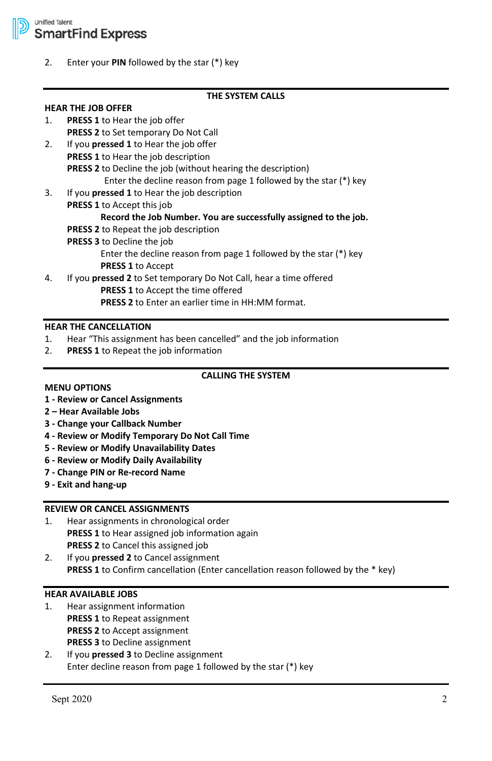2. Enter your **PIN** followed by the star (\*) key

## **THE SYSTEM CALLS**

## **HEAR THE JOB OFFER** 1. **PRESS 1** to Hear the job offer **PRESS 2** to Set temporary Do Not Call

- 2. If you **pressed 1** to Hear the job offer **PRESS 1** to Hear the job description **PRESS 2** to Decline the job (without hearing the description) Enter the decline reason from page 1 followed by the star (\*) key
- 3. If you **pressed 1** to Hear the job description
- **PRESS 1** to Accept this job **Record the Job Number. You are successfully assigned to the job. PRESS 2** to Repeat the job description **PRESS 3** to Decline the job Enter the decline reason from page 1 followed by the star (\*) key **PRESS 1** to Accept 4. If you **pressed 2** to Set temporary Do Not Call, hear a time offered
- **PRESS 1** to Accept the time offered **PRESS 2** to Enter an earlier time in HH:MM format.

#### **HEAR THE CANCELLATION**

- 1. Hear "This assignment has been cancelled" and the job information
- 2. **PRESS 1** to Repeat the job information

## **CALLING THE SYSTEM**

#### **MENU OPTIONS**

### **1 - Review or Cancel Assignments**

- **2 Hear Available Jobs**
- **3 Change your Callback Number**
- **4 Review or Modify Temporary Do Not Call Time**
- **5 Review or Modify Unavailability Dates**
- **6 Review or Modify Daily Availability**
- **7 Change PIN or Re-record Name**
- **9 Exit and hang-up**

## **REVIEW OR CANCEL ASSIGNMENTS**

- 1. Hear assignments in chronological order **PRESS 1** to Hear assigned job information again **PRESS 2** to Cancel this assigned job
- 2. If you **pressed 2** to Cancel assignment **PRESS 1** to Confirm cancellation (Enter cancellation reason followed by the \* key)

## **HEAR AVAILABLE JOBS**

- 1. Hear assignment information **PRESS 1** to Repeat assignment **PRESS 2** to Accept assignment **PRESS 3** to Decline assignment
- 2. If you **pressed 3** to Decline assignment Enter decline reason from page 1 followed by the star (\*) key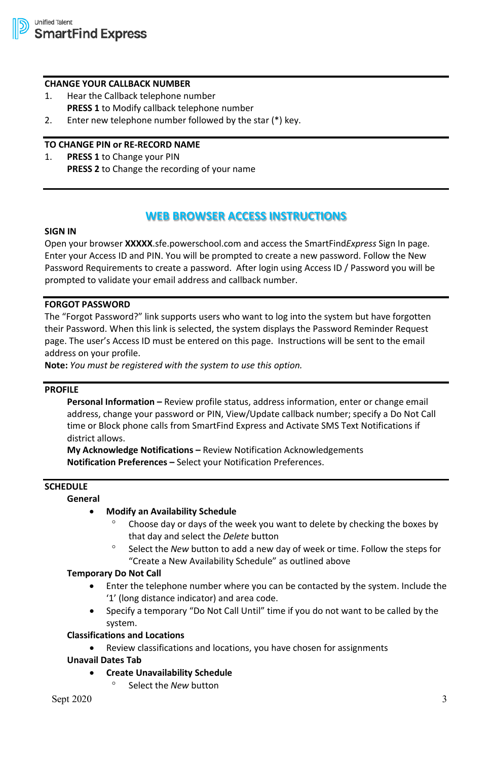#### **CHANGE YOUR CALLBACK NUMBER**

- 1. Hear the Callback telephone number **PRESS 1** to Modify callback telephone number
- 2. Enter new telephone number followed by the star (\*) key.

### **TO CHANGE PIN or RE-RECORD NAME**

1. **PRESS 1** to Change your PIN **PRESS 2** to Change the recording of your name

## **WEB BROWSER ACCESS INSTRUCTIONS**

#### **SIGN IN**

Open your browser **XXXXX**.sfe.powerschool.com and access the SmartFind*Express* Sign In page. Enter your Access ID and PIN. You will be prompted to create a new password. Follow the New Password Requirements to create a password. After login using Access ID / Password you will be prompted to validate your email address and callback number.

### **FORGOT PASSWORD**

The "Forgot Password?" link supports users who want to log into the system but have forgotten their Password. When this link is selected, the system displays the Password Reminder Request page. The user's Access ID must be entered on this page. Instructions will be sent to the email address on your profile.

**Note:** *You must be registered with the system to use this option.*

### **PROFILE**

**Personal Information –** Review profile status, address information, enter or change email address, change your password or PIN, View/Update callback number; specify a Do Not Call time or Block phone calls from SmartFind Express and Activate SMS Text Notifications if district allows.

**My Acknowledge Notifications –** Review Notification Acknowledgements **Notification Preferences –** Select your Notification Preferences.

## **SCHEDULE**

**General**

#### • **Modify an Availability Schedule**

- ° Choose day or days of the week you want to delete by checking the boxes by that day and select the *Delete* button
- Select the *New* button to add a new day of week or time. Follow the steps for "Create a New Availability Schedule" as outlined above

### **Temporary Do Not Call**

- Enter the telephone number where you can be contacted by the system. Include the '1' (long distance indicator) and area code.
- Specify a temporary "Do Not Call Until" time if you do not want to be called by the system.

# **Classifications and Locations**

Review classifications and locations, you have chosen for assignments

## **Unavail Dates Tab**

- **Create Unavailability Schedule**
	- Select the *New* button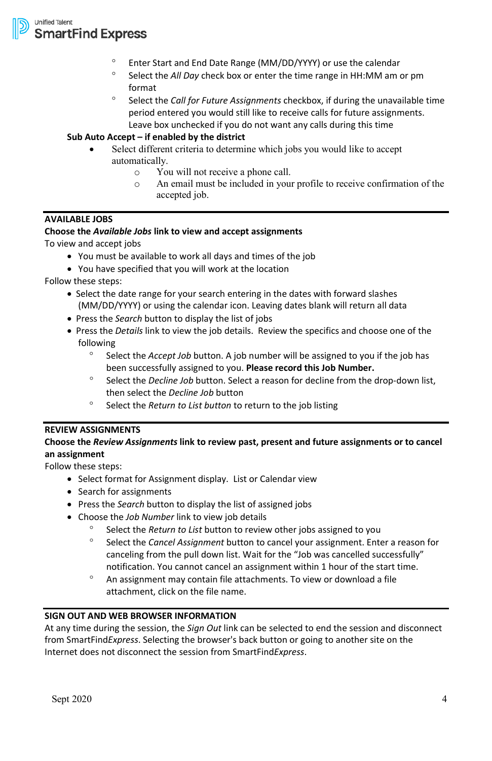

**Unified Talent SmartFind Express** 

- ° Enter Start and End Date Range (MM/DD/YYYY) or use the calendar
- Select the *All Day* check box or enter the time range in HH:MM am or pm format
- ° Select the *Call for Future Assignments* checkbox, if during the unavailable time period entered you would still like to receive calls for future assignments. Leave box unchecked if you do not want any calls during this time

### **Sub Auto Accept – if enabled by the district**

- Select different criteria to determine which jobs you would like to accept automatically.
	- $\circ$  You will not receive a phone call.<br> $\circ$  An email must be included in you
	- An email must be included in your profile to receive confirmation of the accepted job.

## **AVAILABLE JOBS**

### **Choose the** *Available Jobs* **link to view and accept assignments**

To view and accept jobs

- You must be available to work all days and times of the job
- You have specified that you will work at the location

Follow these steps:

- Select the date range for your search entering in the dates with forward slashes (MM/DD/YYYY) or using the calendar icon. Leaving dates blank will return all data
- Press the *Search* button to display the list of jobs
- Press the *Details* link to view the job details. Review the specifics and choose one of the following
	- ° Select the *Accept Job* button. A job number will be assigned to you if the job has been successfully assigned to you. **Please record this Job Number.**
	- ° Select the *Decline Job* button. Select a reason for decline from the drop-down list, then select the *Decline Job* button
	- Select the *Return to List button* to return to the job listing

### **REVIEW ASSIGNMENTS**

## **Choose the** *Review Assignments* **link to review past, present and future assignments or to cancel an assignment**

Follow these steps:

- Select format for Assignment display. List or Calendar view
- Search for assignments
- Press the *Search* button to display the list of assigned jobs
- Choose the *Job Number* link to view job details
	- Select the *Return to List* button to review other jobs assigned to you
	- ° Select the *Cancel Assignment* button to cancel your assignment. Enter a reason for canceling from the pull down list. Wait for the "Job was cancelled successfully" notification. You cannot cancel an assignment within 1 hour of the start time.
	- ° An assignment may contain file attachments. To view or download a file attachment, click on the file name.

## **SIGN OUT AND WEB BROWSER INFORMATION**

At any time during the session, the *Sign Out* link can be selected to end the session and disconnect from SmartFind*Express*. Selecting the browser's back button or going to another site on the Internet does not disconnect the session from SmartFind*Express*.